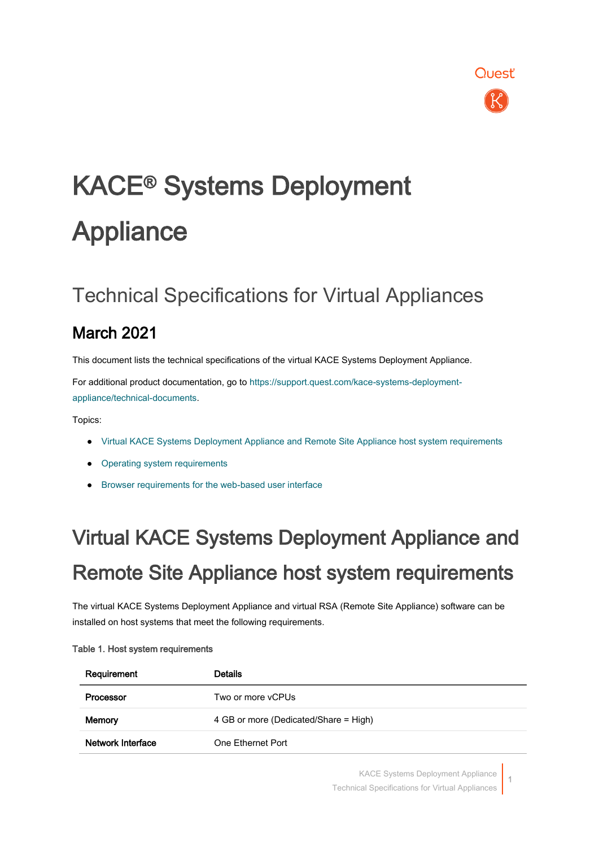

# KACE® Systems Deployment **Appliance**

### Technical Specifications for Virtual Appliances

### March 2021

This document lists the technical specifications of the virtual KACE Systems Deployment Appliance.

For additional product documentation, go to [https://support.quest.com/kace-systems-deployment](https://support.quest.com/kace-systems-deployment-appliance/technical-documents)[appliance/technical-documents.](https://support.quest.com/kace-systems-deployment-appliance/technical-documents)

Topics:

- [Virtual KACE Systems Deployment Appliance and Remote Site Appliance host system requirements](#page-0-0)
- [Operating system requirements](#page-1-0)
- <span id="page-0-0"></span>[Browser requirements for the web-based user interface](#page-2-0)

# Virtual KACE Systems Deployment Appliance and Remote Site Appliance host system requirements

The virtual KACE Systems Deployment Appliance and virtual RSA (Remote Site Appliance) software can be installed on host systems that meet the following requirements.

| Requirement       | <b>Details</b>                        |
|-------------------|---------------------------------------|
| Processor         | Two or more vCPUs                     |
| Memory            | 4 GB or more (Dedicated/Share = High) |
| Network Interface | One Ethernet Port                     |

#### Table 1. Host system requirements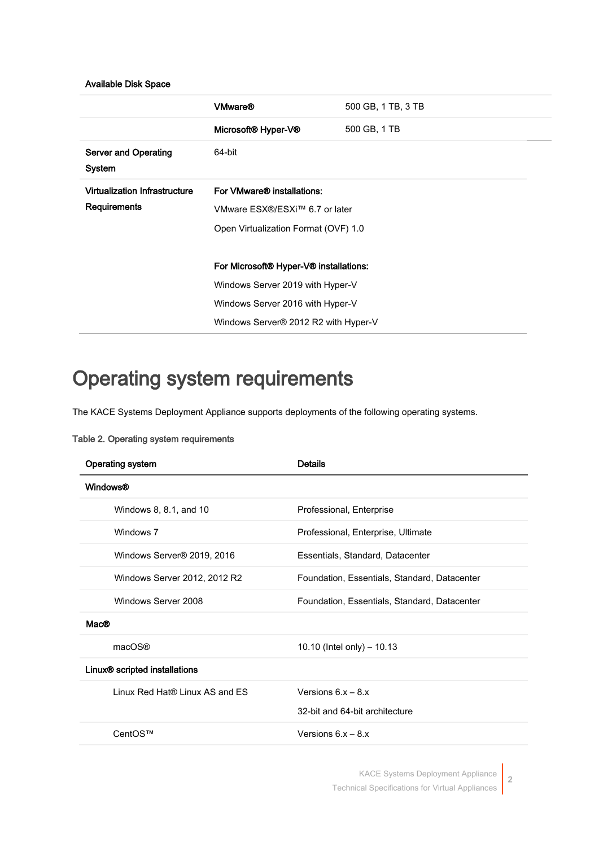#### Available Disk Space

|                                                             | <b>VMware®</b>                         | 500 GB, 1 TB, 3 TB |
|-------------------------------------------------------------|----------------------------------------|--------------------|
|                                                             | Microsoft® Hyper-V®                    | 500 GB, 1 TB       |
| <b>Server and Operating</b><br>System                       | 64-bit                                 |                    |
| <b>Virtualization Infrastructure</b><br><b>Requirements</b> | For VMware® installations:             |                    |
|                                                             | VMware ESX®/ESXi™ 6.7 or later         |                    |
|                                                             | Open Virtualization Format (OVF) 1.0   |                    |
|                                                             |                                        |                    |
|                                                             | For Microsoft® Hyper-V® installations: |                    |
|                                                             | Windows Server 2019 with Hyper-V       |                    |
|                                                             | Windows Server 2016 with Hyper-V       |                    |
|                                                             | Windows Server® 2012 R2 with Hyper-V   |                    |

### <span id="page-1-0"></span>Operating system requirements

The KACE Systems Deployment Appliance supports deployments of the following operating systems.

| <b>Operating system</b>                   | <b>Details</b>                               |
|-------------------------------------------|----------------------------------------------|
| <b>Windows®</b>                           |                                              |
| Windows 8, 8.1, and 10                    | Professional, Enterprise                     |
| Windows 7                                 | Professional, Enterprise, Ultimate           |
| Windows Server <sup>®</sup> 2019, 2016    | Essentials, Standard, Datacenter             |
| Windows Server 2012, 2012 R2              | Foundation, Essentials, Standard, Datacenter |
| Windows Server 2008                       | Foundation, Essentials, Standard, Datacenter |
| Mac@                                      |                                              |
| macOS®                                    | 10.10 (Intel only) $-$ 10.13                 |
| Linux <sup>®</sup> scripted installations |                                              |
| Linux Red Hat® Linux AS and FS            | Versions $6x - 8x$                           |
|                                           | 32-bit and 64-bit architecture               |
| CentOS™                                   | Versions $6x - 8x$                           |

#### Table 2. Operating system requirements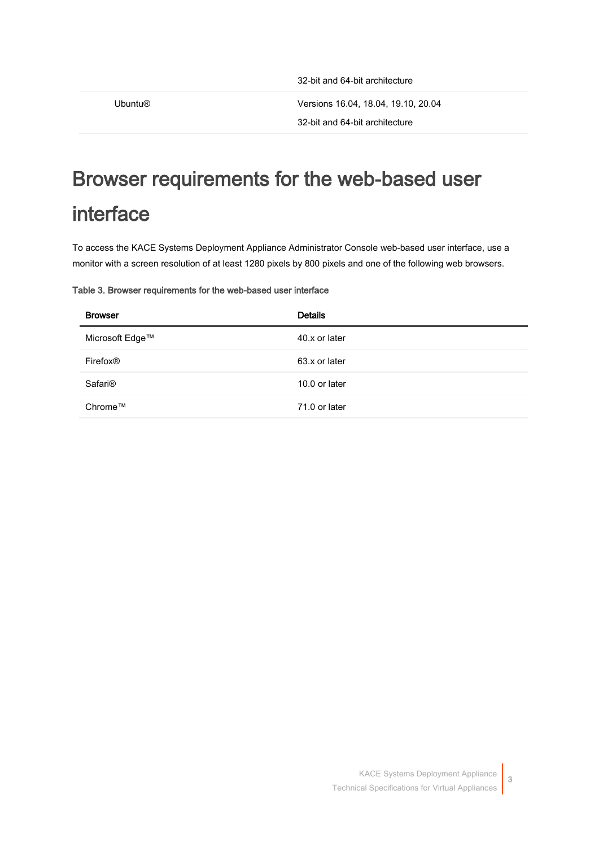Ubuntu® Versions 16.04, 18.04, 19.10, 20.04

```
32-bit and 64-bit architecture
```
### <span id="page-2-0"></span>Browser requirements for the web-based user interface

To access the KACE Systems Deployment Appliance Administrator Console web-based user interface, use a monitor with a screen resolution of at least 1280 pixels by 800 pixels and one of the following web browsers.

#### Table 3. Browser requirements for the web-based user interface

| <b>Browser</b>       | <b>Details</b> |
|----------------------|----------------|
| Microsoft Edge™      | 40.x or later  |
| Firefox <sup>®</sup> | 63.x or later  |
| Safari <sup>®</sup>  | 10.0 or later  |
| Chrome™              | 71.0 or later  |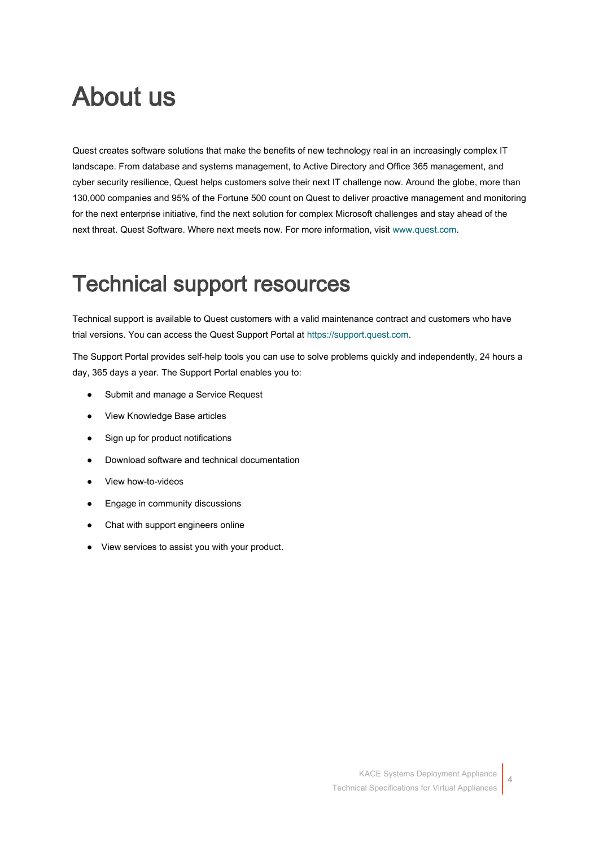## About us

Quest creates software solutions that make the benefits of new technology real in an increasingly complex IT landscape. From database and systems management, to Active Directory and Office 365 management, and cyber security resilience, Quest helps customers solve their next IT challenge now. Around the globe, more than 130,000 companies and 95% of the Fortune 500 count on Quest to deliver proactive management and monitoring for the next enterprise initiative, find the next solution for complex Microsoft challenges and stay ahead of the next threat. Quest Software. Where next meets now. For more information, visit [www.quest.com.](https://www.quest.com/company/contact-us.aspx)

### Technical support resources

Technical support is available to Quest customers with a valid maintenance contract and customers who have trial versions. You can access the Quest Support Portal at [https://support.quest.com.](https://support.quest.com/)

The Support Portal provides self-help tools you can use to solve problems quickly and independently, 24 hours a day, 365 days a year. The Support Portal enables you to:

- Submit and manage a Service Request
- View Knowledge Base articles
- Sign up for product notifications
- Download software and technical documentation
- View how-to-videos
- Engage in community discussions
- Chat with support engineers online
- View services to assist you with your product.